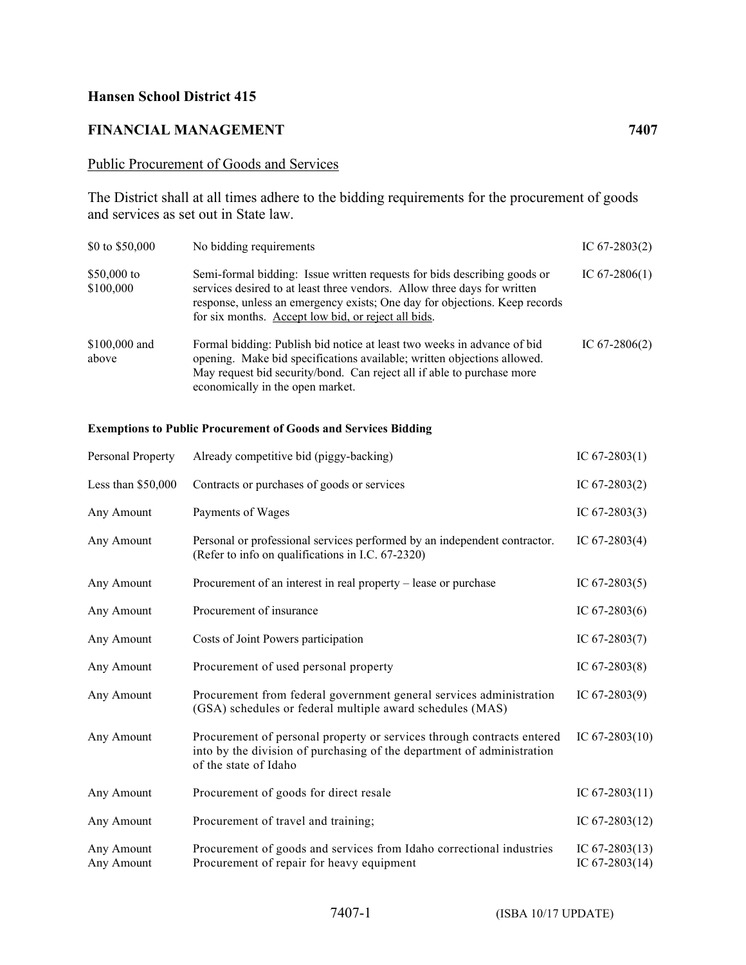## **Hansen School District 415**

## **FINANCIAL MANAGEMENT 7407**

## Public Procurement of Goods and Services

The District shall at all times adhere to the bidding requirements for the procurement of goods and services as set out in State law.

| \$0 to \$50,000          | No bidding requirements                                                                                                                                                                                                                                                                   | IC $67-2803(2)$ |
|--------------------------|-------------------------------------------------------------------------------------------------------------------------------------------------------------------------------------------------------------------------------------------------------------------------------------------|-----------------|
| \$50,000 to<br>\$100,000 | Semi-formal bidding: Issue written requests for bids describing goods or<br>services desired to at least three vendors. Allow three days for written<br>response, unless an emergency exists; One day for objections. Keep records<br>for six months. Accept low bid, or reject all bids. | IC $67-2806(1)$ |
| \$100,000 and<br>above   | Formal bidding: Publish bid notice at least two weeks in advance of bid<br>opening. Make bid specifications available; written objections allowed.<br>May request bid security/bond. Can reject all if able to purchase more<br>economically in the open market.                          | IC $67-2806(2)$ |

## **Exemptions to Public Procurement of Goods and Services Bidding**

| Personal Property        | Already competitive bid (piggy-backing)                                                                                                                                   | IC $67-2803(1)$                      |
|--------------------------|---------------------------------------------------------------------------------------------------------------------------------------------------------------------------|--------------------------------------|
| Less than $$50,000$      | Contracts or purchases of goods or services                                                                                                                               | IC $67-2803(2)$                      |
| Any Amount               | Payments of Wages                                                                                                                                                         | IC $67-2803(3)$                      |
| Any Amount               | Personal or professional services performed by an independent contractor.<br>(Refer to info on qualifications in I.C. 67-2320)                                            | IC $67-2803(4)$                      |
| Any Amount               | Procurement of an interest in real property – lease or purchase                                                                                                           | IC $67-2803(5)$                      |
| Any Amount               | Procurement of insurance                                                                                                                                                  | IC $67-2803(6)$                      |
| Any Amount               | Costs of Joint Powers participation                                                                                                                                       | IC $67-2803(7)$                      |
| Any Amount               | Procurement of used personal property                                                                                                                                     | IC $67-2803(8)$                      |
| Any Amount               | Procurement from federal government general services administration<br>(GSA) schedules or federal multiple award schedules (MAS)                                          | IC $67-2803(9)$                      |
| Any Amount               | Procurement of personal property or services through contracts entered<br>into by the division of purchasing of the department of administration<br>of the state of Idaho | IC $67-2803(10)$                     |
| Any Amount               | Procurement of goods for direct resale                                                                                                                                    | IC $67-2803(11)$                     |
| Any Amount               | Procurement of travel and training;                                                                                                                                       | IC $67-2803(12)$                     |
| Any Amount<br>Any Amount | Procurement of goods and services from Idaho correctional industries<br>Procurement of repair for heavy equipment                                                         | IC $67-2803(13)$<br>IC $67-2803(14)$ |